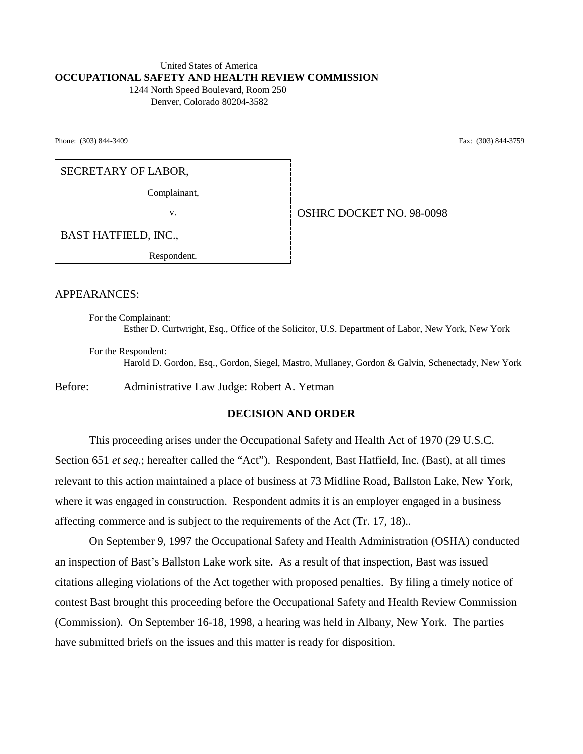## United States of America **OCCUPATIONAL SAFETY AND HEALTH REVIEW COMMISSION**

 1244 North Speed Boulevard, Room 250 Denver, Colorado 80204-3582

Phone: (303) 844-3409 Fax: (303) 844-3759

SECRETARY OF LABOR,

Complainant,

v. **CONSERVER SERVICE SERVICE SERVICE SERVICE SERVICE SERVICE SERVICE SERVICE SERVICE SERVICE SERVICE SERVICE S** 

BAST HATFIELD, INC.,

Respondent.

APPEARANCES:

For the Complainant: Esther D. Curtwright, Esq., Office of the Solicitor, U.S. Department of Labor, New York, New York

For the Respondent:

Harold D. Gordon, Esq., Gordon, Siegel, Mastro, Mullaney, Gordon & Galvin, Schenectady, New York

Before: Administrative Law Judge: Robert A. Yetman

#### **DECISION AND ORDER**

This proceeding arises under the Occupational Safety and Health Act of 1970 (29 U.S.C. Section 651 *et seq.*; hereafter called the "Act"). Respondent, Bast Hatfield, Inc. (Bast), at all times relevant to this action maintained a place of business at 73 Midline Road, Ballston Lake, New York, where it was engaged in construction. Respondent admits it is an employer engaged in a business affecting commerce and is subject to the requirements of the Act (Tr. 17, 18)..

On September 9, 1997 the Occupational Safety and Health Administration (OSHA) conducted an inspection of Bast's Ballston Lake work site. As a result of that inspection, Bast was issued citations alleging violations of the Act together with proposed penalties. By filing a timely notice of contest Bast brought this proceeding before the Occupational Safety and Health Review Commission (Commission). On September 16-18, 1998, a hearing was held in Albany, New York. The parties have submitted briefs on the issues and this matter is ready for disposition.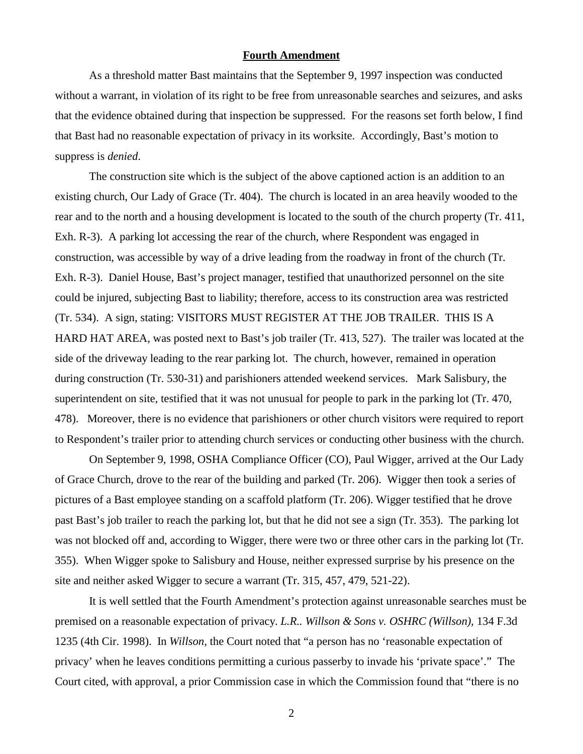#### **Fourth Amendment**

As a threshold matter Bast maintains that the September 9, 1997 inspection was conducted without a warrant, in violation of its right to be free from unreasonable searches and seizures, and asks that the evidence obtained during that inspection be suppressed. For the reasons set forth below, I find that Bast had no reasonable expectation of privacy in its worksite. Accordingly, Bast's motion to suppress is *denied*.

The construction site which is the subject of the above captioned action is an addition to an existing church, Our Lady of Grace (Tr. 404). The church is located in an area heavily wooded to the rear and to the north and a housing development is located to the south of the church property (Tr. 411, Exh. R-3). A parking lot accessing the rear of the church, where Respondent was engaged in construction, was accessible by way of a drive leading from the roadway in front of the church (Tr. Exh. R-3). Daniel House, Bast's project manager, testified that unauthorized personnel on the site could be injured, subjecting Bast to liability; therefore, access to its construction area was restricted (Tr. 534). A sign, stating: VISITORS MUST REGISTER AT THE JOB TRAILER. THIS IS A HARD HAT AREA, was posted next to Bast's job trailer (Tr. 413, 527). The trailer was located at the side of the driveway leading to the rear parking lot. The church, however, remained in operation during construction (Tr. 530-31) and parishioners attended weekend services. Mark Salisbury, the superintendent on site, testified that it was not unusual for people to park in the parking lot (Tr. 470, 478). Moreover, there is no evidence that parishioners or other church visitors were required to report to Respondent's trailer prior to attending church services or conducting other business with the church.

On September 9, 1998, OSHA Compliance Officer (CO), Paul Wigger, arrived at the Our Lady of Grace Church, drove to the rear of the building and parked (Tr. 206). Wigger then took a series of pictures of a Bast employee standing on a scaffold platform (Tr. 206). Wigger testified that he drove past Bast's job trailer to reach the parking lot, but that he did not see a sign (Tr. 353). The parking lot was not blocked off and, according to Wigger, there were two or three other cars in the parking lot (Tr. 355). When Wigger spoke to Salisbury and House, neither expressed surprise by his presence on the site and neither asked Wigger to secure a warrant (Tr. 315, 457, 479, 521-22).

It is well settled that the Fourth Amendment's protection against unreasonable searches must be premised on a reasonable expectation of privacy. *L.R.. Willson & Sons v. OSHRC (Willson),* 134 F.3d 1235 (4th Cir. 1998). In *Willson,* the Court noted that "a person has no 'reasonable expectation of privacy' when he leaves conditions permitting a curious passerby to invade his 'private space'." The Court cited, with approval, a prior Commission case in which the Commission found that "there is no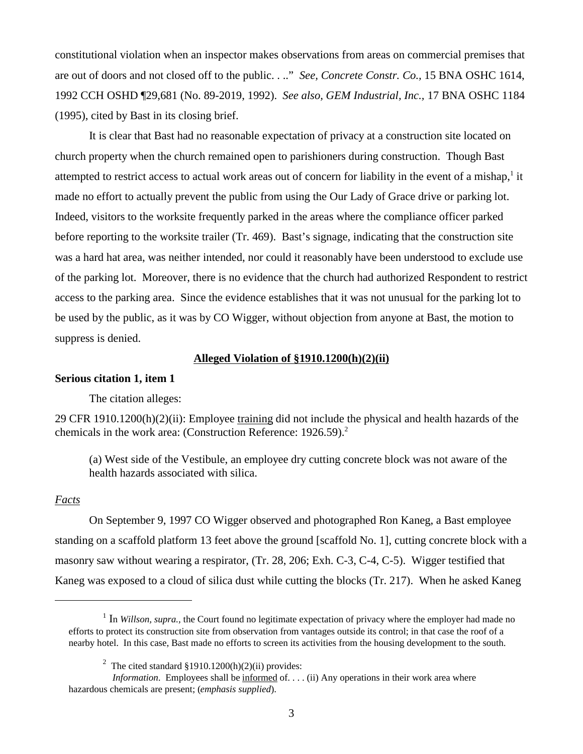constitutional violation when an inspector makes observations from areas on commercial premises that are out of doors and not closed off to the public. . .." *See, Concrete Constr. Co.,* 15 BNA OSHC 1614, 1992 CCH OSHD ¶29,681 (No. 89-2019, 1992). *See also, GEM Industrial, Inc.,* 17 BNA OSHC 1184 (1995), cited by Bast in its closing brief.

It is clear that Bast had no reasonable expectation of privacy at a construction site located on church property when the church remained open to parishioners during construction. Though Bast attempted to restrict access to actual work areas out of concern for liability in the event of a mishap,<sup>1</sup> it made no effort to actually prevent the public from using the Our Lady of Grace drive or parking lot. Indeed, visitors to the worksite frequently parked in the areas where the compliance officer parked before reporting to the worksite trailer (Tr. 469). Bast's signage, indicating that the construction site was a hard hat area, was neither intended, nor could it reasonably have been understood to exclude use of the parking lot. Moreover, there is no evidence that the church had authorized Respondent to restrict access to the parking area. Since the evidence establishes that it was not unusual for the parking lot to be used by the public, as it was by CO Wigger, without objection from anyone at Bast, the motion to suppress is denied.

### **Alleged Violation of §1910.1200(h)(2)(ii)**

### **Serious citation 1, item 1**

The citation alleges:

29 CFR 1910.1200(h)(2)(ii): Employee training did not include the physical and health hazards of the chemicals in the work area: (Construction Reference: 1926.59).<sup>2</sup>

(a) West side of the Vestibule, an employee dry cutting concrete block was not aware of the health hazards associated with silica.

### *Facts*

On September 9, 1997 CO Wigger observed and photographed Ron Kaneg, a Bast employee standing on a scaffold platform 13 feet above the ground [scaffold No. 1], cutting concrete block with a masonry saw without wearing a respirator, (Tr. 28, 206; Exh. C-3, C-4, C-5). Wigger testified that Kaneg was exposed to a cloud of silica dust while cutting the blocks (Tr. 217). When he asked Kaneg

<sup>&</sup>lt;sup>1</sup> In *Willson, supra.*, the Court found no legitimate expectation of privacy where the employer had made no efforts to protect its construction site from observation from vantages outside its control; in that case the roof of a nearby hotel. In this case, Bast made no efforts to screen its activities from the housing development to the south.

<sup>&</sup>lt;sup>2</sup> The cited standard §1910.1200(h)(2)(ii) provides:

*Information*. Employees shall be informed of... . (ii) Any operations in their work area where hazardous chemicals are present; (*emphasis supplied*).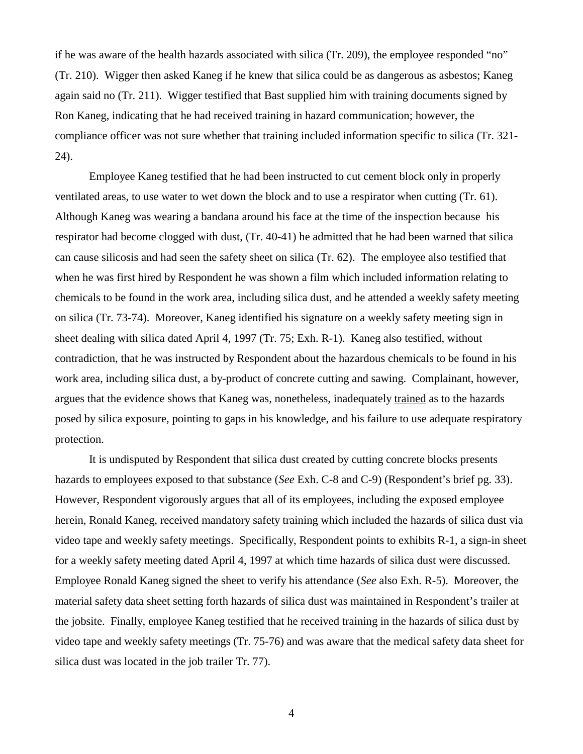if he was aware of the health hazards associated with silica (Tr. 209), the employee responded "no" (Tr. 210). Wigger then asked Kaneg if he knew that silica could be as dangerous as asbestos; Kaneg again said no (Tr. 211). Wigger testified that Bast supplied him with training documents signed by Ron Kaneg, indicating that he had received training in hazard communication; however, the compliance officer was not sure whether that training included information specific to silica (Tr. 321- 24).

Employee Kaneg testified that he had been instructed to cut cement block only in properly ventilated areas, to use water to wet down the block and to use a respirator when cutting (Tr. 61). Although Kaneg was wearing a bandana around his face at the time of the inspection because his respirator had become clogged with dust, (Tr. 40-41) he admitted that he had been warned that silica can cause silicosis and had seen the safety sheet on silica (Tr. 62). The employee also testified that when he was first hired by Respondent he was shown a film which included information relating to chemicals to be found in the work area, including silica dust, and he attended a weekly safety meeting on silica (Tr. 73-74). Moreover, Kaneg identified his signature on a weekly safety meeting sign in sheet dealing with silica dated April 4, 1997 (Tr. 75; Exh. R-1). Kaneg also testified, without contradiction, that he was instructed by Respondent about the hazardous chemicals to be found in his work area, including silica dust, a by-product of concrete cutting and sawing. Complainant, however, argues that the evidence shows that Kaneg was, nonetheless, inadequately trained as to the hazards posed by silica exposure, pointing to gaps in his knowledge, and his failure to use adequate respiratory protection.

It is undisputed by Respondent that silica dust created by cutting concrete blocks presents hazards to employees exposed to that substance (*See* Exh. C-8 and C-9) (Respondent's brief pg. 33). However, Respondent vigorously argues that all of its employees, including the exposed employee herein, Ronald Kaneg, received mandatory safety training which included the hazards of silica dust via video tape and weekly safety meetings. Specifically, Respondent points to exhibits R-1, a sign-in sheet for a weekly safety meeting dated April 4, 1997 at which time hazards of silica dust were discussed. Employee Ronald Kaneg signed the sheet to verify his attendance (*See* also Exh. R-5). Moreover, the material safety data sheet setting forth hazards of silica dust was maintained in Respondent's trailer at the jobsite. Finally, employee Kaneg testified that he received training in the hazards of silica dust by video tape and weekly safety meetings (Tr. 75-76) and was aware that the medical safety data sheet for silica dust was located in the job trailer Tr. 77).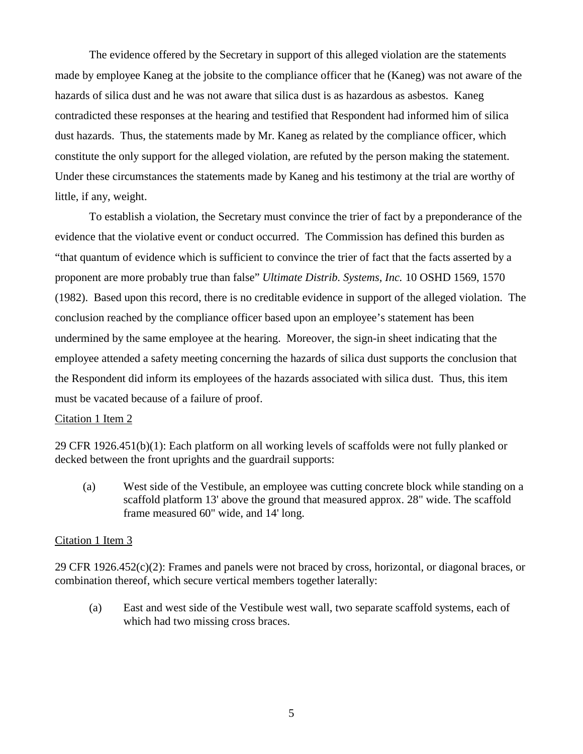The evidence offered by the Secretary in support of this alleged violation are the statements made by employee Kaneg at the jobsite to the compliance officer that he (Kaneg) was not aware of the hazards of silica dust and he was not aware that silica dust is as hazardous as asbestos. Kaneg contradicted these responses at the hearing and testified that Respondent had informed him of silica dust hazards. Thus, the statements made by Mr. Kaneg as related by the compliance officer, which constitute the only support for the alleged violation, are refuted by the person making the statement. Under these circumstances the statements made by Kaneg and his testimony at the trial are worthy of little, if any, weight.

To establish a violation, the Secretary must convince the trier of fact by a preponderance of the evidence that the violative event or conduct occurred. The Commission has defined this burden as "that quantum of evidence which is sufficient to convince the trier of fact that the facts asserted by a proponent are more probably true than false" *Ultimate Distrib. Systems, Inc.* 10 OSHD 1569, 1570 (1982). Based upon this record, there is no creditable evidence in support of the alleged violation. The conclusion reached by the compliance officer based upon an employee's statement has been undermined by the same employee at the hearing. Moreover, the sign-in sheet indicating that the employee attended a safety meeting concerning the hazards of silica dust supports the conclusion that the Respondent did inform its employees of the hazards associated with silica dust. Thus, this item must be vacated because of a failure of proof.

### Citation 1 Item 2

29 CFR 1926.451(b)(1): Each platform on all working levels of scaffolds were not fully planked or decked between the front uprights and the guardrail supports:

(a) West side of the Vestibule, an employee was cutting concrete block while standing on a scaffold platform 13' above the ground that measured approx. 28" wide. The scaffold frame measured 60" wide, and 14' long.

## Citation 1 Item 3

29 CFR 1926.452(c)(2): Frames and panels were not braced by cross, horizontal, or diagonal braces, or combination thereof, which secure vertical members together laterally:

(a) East and west side of the Vestibule west wall, two separate scaffold systems, each of which had two missing cross braces.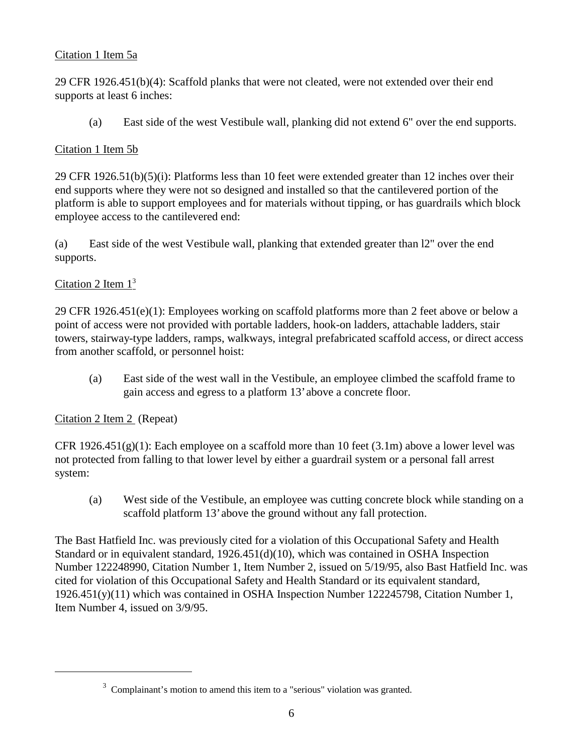# Citation 1 Item 5a

29 CFR 1926.451(b)(4): Scaffold planks that were not cleated, were not extended over their end supports at least 6 inches:

(a) East side of the west Vestibule wall, planking did not extend 6" over the end supports.

# Citation 1 Item 5b

29 CFR 1926.51(b)(5)(i): Platforms less than 10 feet were extended greater than 12 inches over their end supports where they were not so designed and installed so that the cantilevered portion of the platform is able to support employees and for materials without tipping, or has guardrails which block employee access to the cantilevered end:

(a) East side of the west Vestibule wall, planking that extended greater than l2" over the end supports.

# Citation 2 Item  $1<sup>3</sup>$

29 CFR 1926.451(e)(1): Employees working on scaffold platforms more than 2 feet above or below a point of access were not provided with portable ladders, hook-on ladders, attachable ladders, stair towers, stairway-type ladders, ramps, walkways, integral prefabricated scaffold access, or direct access from another scaffold, or personnel hoist:

(a) East side of the west wall in the Vestibule, an employee climbed the scaffold frame to gain access and egress to a platform 13' above a concrete floor.

## Citation 2 Item 2 (Repeat)

CFR 1926.451(g)(1): Each employee on a scaffold more than 10 feet (3.1m) above a lower level was not protected from falling to that lower level by either a guardrail system or a personal fall arrest system:

(a) West side of the Vestibule, an employee was cutting concrete block while standing on a scaffold platform 13' above the ground without any fall protection.

The Bast Hatfield Inc. was previously cited for a violation of this Occupational Safety and Health Standard or in equivalent standard, 1926.451(d)(10), which was contained in OSHA Inspection Number 122248990, Citation Number 1, Item Number 2, issued on 5/19/95, also Bast Hatfield Inc. was cited for violation of this Occupational Safety and Health Standard or its equivalent standard, 1926.451(y)(11) which was contained in OSHA Inspection Number 122245798, Citation Number 1, Item Number 4, issued on 3/9/95.

 $3$  Complainant's motion to amend this item to a "serious" violation was granted.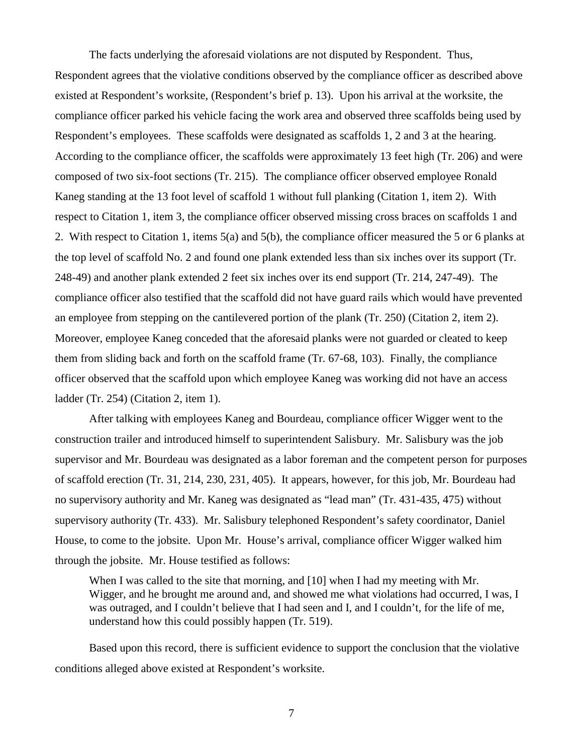The facts underlying the aforesaid violations are not disputed by Respondent. Thus, Respondent agrees that the violative conditions observed by the compliance officer as described above existed at Respondent's worksite, (Respondent's brief p. 13). Upon his arrival at the worksite, the compliance officer parked his vehicle facing the work area and observed three scaffolds being used by Respondent's employees. These scaffolds were designated as scaffolds 1, 2 and 3 at the hearing. According to the compliance officer, the scaffolds were approximately 13 feet high (Tr. 206) and were composed of two six-foot sections (Tr. 215). The compliance officer observed employee Ronald Kaneg standing at the 13 foot level of scaffold 1 without full planking (Citation 1, item 2). With respect to Citation 1, item 3, the compliance officer observed missing cross braces on scaffolds 1 and 2. With respect to Citation 1, items 5(a) and 5(b), the compliance officer measured the 5 or 6 planks at the top level of scaffold No. 2 and found one plank extended less than six inches over its support (Tr. 248-49) and another plank extended 2 feet six inches over its end support (Tr. 214, 247-49). The compliance officer also testified that the scaffold did not have guard rails which would have prevented an employee from stepping on the cantilevered portion of the plank (Tr. 250) (Citation 2, item 2). Moreover, employee Kaneg conceded that the aforesaid planks were not guarded or cleated to keep them from sliding back and forth on the scaffold frame (Tr. 67-68, 103). Finally, the compliance officer observed that the scaffold upon which employee Kaneg was working did not have an access ladder (Tr. 254) (Citation 2, item 1).

After talking with employees Kaneg and Bourdeau, compliance officer Wigger went to the construction trailer and introduced himself to superintendent Salisbury. Mr. Salisbury was the job supervisor and Mr. Bourdeau was designated as a labor foreman and the competent person for purposes of scaffold erection (Tr. 31, 214, 230, 231, 405). It appears, however, for this job, Mr. Bourdeau had no supervisory authority and Mr. Kaneg was designated as "lead man" (Tr. 431-435, 475) without supervisory authority (Tr. 433). Mr. Salisbury telephoned Respondent's safety coordinator, Daniel House, to come to the jobsite. Upon Mr. House's arrival, compliance officer Wigger walked him through the jobsite. Mr. House testified as follows:

When I was called to the site that morning, and [10] when I had my meeting with Mr. Wigger, and he brought me around and, and showed me what violations had occurred, I was, I was outraged, and I couldn't believe that I had seen and I, and I couldn't, for the life of me, understand how this could possibly happen (Tr. 519).

Based upon this record, there is sufficient evidence to support the conclusion that the violative conditions alleged above existed at Respondent's worksite.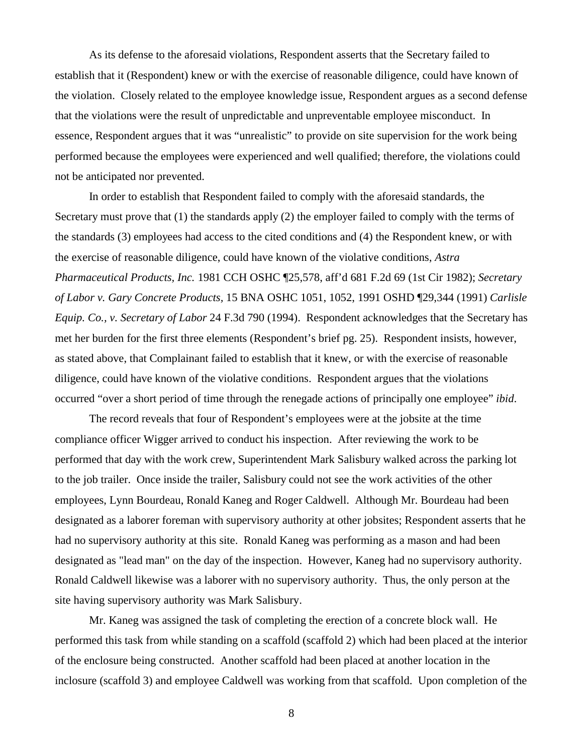As its defense to the aforesaid violations, Respondent asserts that the Secretary failed to establish that it (Respondent) knew or with the exercise of reasonable diligence, could have known of the violation. Closely related to the employee knowledge issue, Respondent argues as a second defense that the violations were the result of unpredictable and unpreventable employee misconduct. In essence, Respondent argues that it was "unrealistic" to provide on site supervision for the work being performed because the employees were experienced and well qualified; therefore, the violations could not be anticipated nor prevented.

In order to establish that Respondent failed to comply with the aforesaid standards, the Secretary must prove that (1) the standards apply (2) the employer failed to comply with the terms of the standards (3) employees had access to the cited conditions and (4) the Respondent knew, or with the exercise of reasonable diligence, could have known of the violative conditions, *Astra Pharmaceutical Products, Inc.* 1981 CCH OSHC ¶25,578, aff'd 681 F.2d 69 (1st Cir 1982); *Secretary of Labor v. Gary Concrete Products,* 15 BNA OSHC 1051, 1052, 1991 OSHD ¶29,344 (1991) *Carlisle Equip. Co., v. Secretary of Labor* 24 F.3d 790 (1994). Respondent acknowledges that the Secretary has met her burden for the first three elements (Respondent's brief pg. 25). Respondent insists, however, as stated above, that Complainant failed to establish that it knew, or with the exercise of reasonable diligence, could have known of the violative conditions. Respondent argues that the violations occurred "over a short period of time through the renegade actions of principally one employee" *ibid*.

The record reveals that four of Respondent's employees were at the jobsite at the time compliance officer Wigger arrived to conduct his inspection. After reviewing the work to be performed that day with the work crew, Superintendent Mark Salisbury walked across the parking lot to the job trailer. Once inside the trailer, Salisbury could not see the work activities of the other employees, Lynn Bourdeau, Ronald Kaneg and Roger Caldwell. Although Mr. Bourdeau had been designated as a laborer foreman with supervisory authority at other jobsites; Respondent asserts that he had no supervisory authority at this site. Ronald Kaneg was performing as a mason and had been designated as "lead man" on the day of the inspection. However, Kaneg had no supervisory authority. Ronald Caldwell likewise was a laborer with no supervisory authority. Thus, the only person at the site having supervisory authority was Mark Salisbury.

Mr. Kaneg was assigned the task of completing the erection of a concrete block wall. He performed this task from while standing on a scaffold (scaffold 2) which had been placed at the interior of the enclosure being constructed. Another scaffold had been placed at another location in the inclosure (scaffold 3) and employee Caldwell was working from that scaffold. Upon completion of the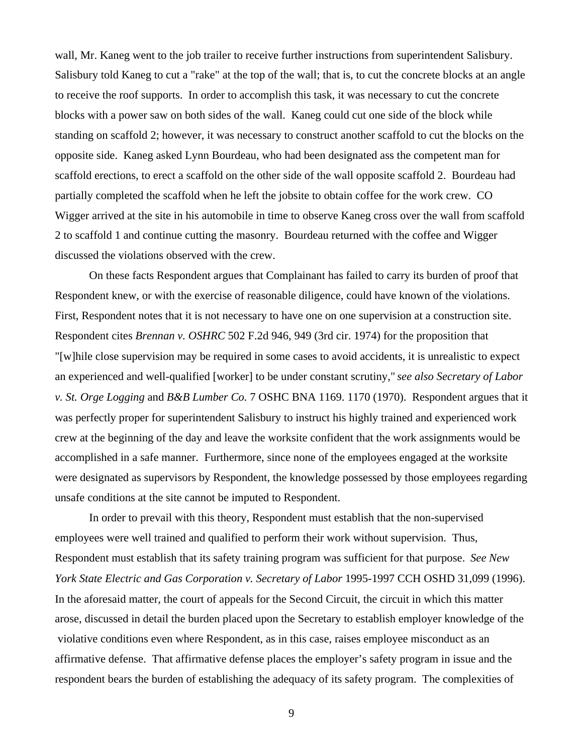wall, Mr. Kaneg went to the job trailer to receive further instructions from superintendent Salisbury. Salisbury told Kaneg to cut a "rake" at the top of the wall; that is, to cut the concrete blocks at an angle to receive the roof supports. In order to accomplish this task, it was necessary to cut the concrete blocks with a power saw on both sides of the wall. Kaneg could cut one side of the block while standing on scaffold 2; however, it was necessary to construct another scaffold to cut the blocks on the opposite side. Kaneg asked Lynn Bourdeau, who had been designated ass the competent man for scaffold erections, to erect a scaffold on the other side of the wall opposite scaffold 2. Bourdeau had partially completed the scaffold when he left the jobsite to obtain coffee for the work crew. CO Wigger arrived at the site in his automobile in time to observe Kaneg cross over the wall from scaffold 2 to scaffold 1 and continue cutting the masonry. Bourdeau returned with the coffee and Wigger discussed the violations observed with the crew.

On these facts Respondent argues that Complainant has failed to carry its burden of proof that Respondent knew, or with the exercise of reasonable diligence, could have known of the violations. First, Respondent notes that it is not necessary to have one on one supervision at a construction site. Respondent cites *Brennan v. OSHRC* 502 F.2d 946, 949 (3rd cir. 1974) for the proposition that "[w]hile close supervision may be required in some cases to avoid accidents, it is unrealistic to expect an experienced and well-qualified [worker] to be under constant scrutiny," *see also Secretary of Labor v. St. Orge Logging* and *B&B Lumber Co.* 7 OSHC BNA 1169. 1170 (1970). Respondent argues that it was perfectly proper for superintendent Salisbury to instruct his highly trained and experienced work crew at the beginning of the day and leave the worksite confident that the work assignments would be accomplished in a safe manner. Furthermore, since none of the employees engaged at the worksite were designated as supervisors by Respondent, the knowledge possessed by those employees regarding unsafe conditions at the site cannot be imputed to Respondent.

In order to prevail with this theory, Respondent must establish that the non-supervised employees were well trained and qualified to perform their work without supervision. Thus, Respondent must establish that its safety training program was sufficient for that purpose. *See New York State Electric and Gas Corporation v. Secretary of Labor* 1995-1997 CCH OSHD 31,099 (1996). In the aforesaid matter, the court of appeals for the Second Circuit, the circuit in which this matter arose, discussed in detail the burden placed upon the Secretary to establish employer knowledge of the violative conditions even where Respondent, as in this case, raises employee misconduct as an affirmative defense. That affirmative defense places the employer's safety program in issue and the respondent bears the burden of establishing the adequacy of its safety program. The complexities of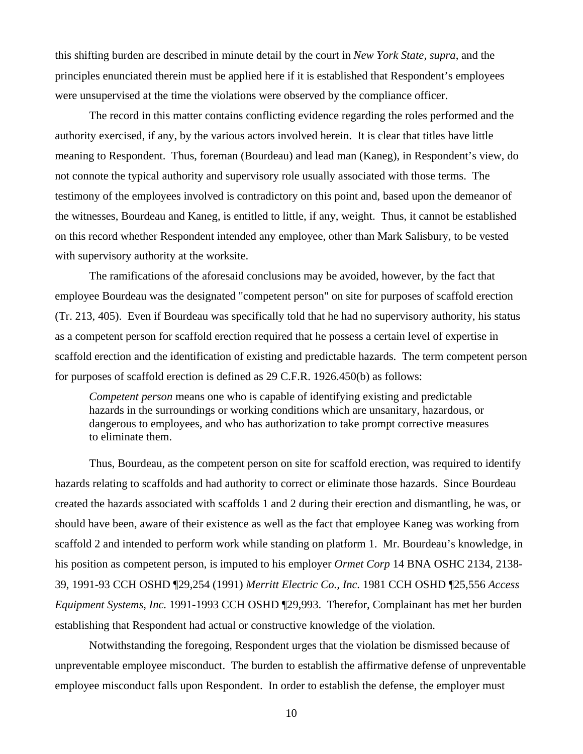this shifting burden are described in minute detail by the court in *New York State, supra*, and the principles enunciated therein must be applied here if it is established that Respondent's employees were unsupervised at the time the violations were observed by the compliance officer.

The record in this matter contains conflicting evidence regarding the roles performed and the authority exercised, if any, by the various actors involved herein. It is clear that titles have little meaning to Respondent. Thus, foreman (Bourdeau) and lead man (Kaneg), in Respondent's view, do not connote the typical authority and supervisory role usually associated with those terms. The testimony of the employees involved is contradictory on this point and, based upon the demeanor of the witnesses, Bourdeau and Kaneg, is entitled to little, if any, weight. Thus, it cannot be established on this record whether Respondent intended any employee, other than Mark Salisbury, to be vested with supervisory authority at the worksite.

The ramifications of the aforesaid conclusions may be avoided, however, by the fact that employee Bourdeau was the designated "competent person" on site for purposes of scaffold erection (Tr. 213, 405). Even if Bourdeau was specifically told that he had no supervisory authority, his status as a competent person for scaffold erection required that he possess a certain level of expertise in scaffold erection and the identification of existing and predictable hazards. The term competent person for purposes of scaffold erection is defined as 29 C.F.R. 1926.450(b) as follows:

*Competent person* means one who is capable of identifying existing and predictable hazards in the surroundings or working conditions which are unsanitary, hazardous, or dangerous to employees, and who has authorization to take prompt corrective measures to eliminate them.

Thus, Bourdeau, as the competent person on site for scaffold erection, was required to identify hazards relating to scaffolds and had authority to correct or eliminate those hazards. Since Bourdeau created the hazards associated with scaffolds 1 and 2 during their erection and dismantling, he was, or should have been, aware of their existence as well as the fact that employee Kaneg was working from scaffold 2 and intended to perform work while standing on platform 1. Mr. Bourdeau's knowledge, in his position as competent person, is imputed to his employer *Ormet Corp* 14 BNA OSHC 2134, 2138- 39, 1991-93 CCH OSHD ¶29,254 (1991) *Merritt Electric Co., Inc.* 1981 CCH OSHD ¶25,556 *Access Equipment Systems, Inc.* 1991-1993 CCH OSHD ¶29,993. Therefor, Complainant has met her burden establishing that Respondent had actual or constructive knowledge of the violation.

Notwithstanding the foregoing, Respondent urges that the violation be dismissed because of unpreventable employee misconduct. The burden to establish the affirmative defense of unpreventable employee misconduct falls upon Respondent. In order to establish the defense, the employer must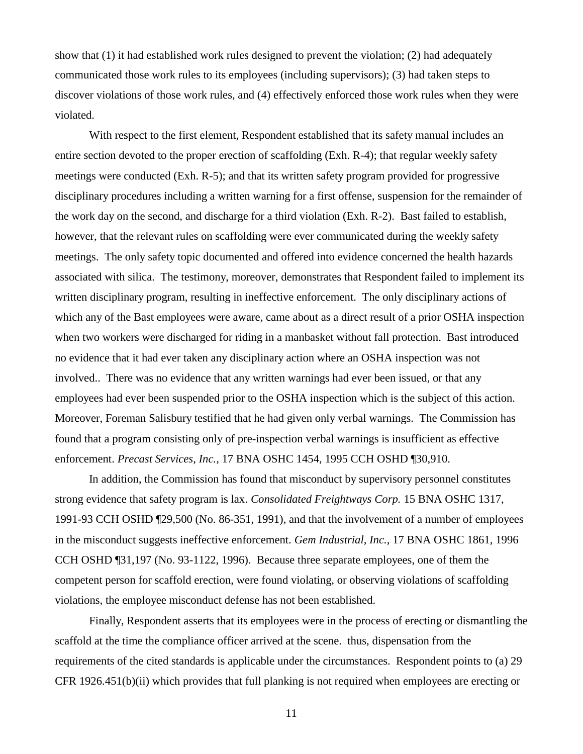show that (1) it had established work rules designed to prevent the violation; (2) had adequately communicated those work rules to its employees (including supervisors); (3) had taken steps to discover violations of those work rules, and (4) effectively enforced those work rules when they were violated.

With respect to the first element, Respondent established that its safety manual includes an entire section devoted to the proper erection of scaffolding (Exh. R-4); that regular weekly safety meetings were conducted (Exh. R-5); and that its written safety program provided for progressive disciplinary procedures including a written warning for a first offense, suspension for the remainder of the work day on the second, and discharge for a third violation (Exh. R-2). Bast failed to establish, however, that the relevant rules on scaffolding were ever communicated during the weekly safety meetings. The only safety topic documented and offered into evidence concerned the health hazards associated with silica. The testimony, moreover, demonstrates that Respondent failed to implement its written disciplinary program, resulting in ineffective enforcement. The only disciplinary actions of which any of the Bast employees were aware, came about as a direct result of a prior OSHA inspection when two workers were discharged for riding in a manbasket without fall protection. Bast introduced no evidence that it had ever taken any disciplinary action where an OSHA inspection was not involved.. There was no evidence that any written warnings had ever been issued, or that any employees had ever been suspended prior to the OSHA inspection which is the subject of this action. Moreover, Foreman Salisbury testified that he had given only verbal warnings. The Commission has found that a program consisting only of pre-inspection verbal warnings is insufficient as effective enforcement. *Precast Services, Inc.,* 17 BNA OSHC 1454, 1995 CCH OSHD ¶30,910.

In addition, the Commission has found that misconduct by supervisory personnel constitutes strong evidence that safety program is lax. *Consolidated Freightways Corp.* 15 BNA OSHC 1317, 1991-93 CCH OSHD ¶29,500 (No. 86-351, 1991), and that the involvement of a number of employees in the misconduct suggests ineffective enforcement. *Gem Industrial, Inc.,* 17 BNA OSHC 1861, 1996 CCH OSHD ¶31,197 (No. 93-1122, 1996). Because three separate employees, one of them the competent person for scaffold erection, were found violating, or observing violations of scaffolding violations, the employee misconduct defense has not been established.

Finally, Respondent asserts that its employees were in the process of erecting or dismantling the scaffold at the time the compliance officer arrived at the scene. thus, dispensation from the requirements of the cited standards is applicable under the circumstances. Respondent points to (a) 29 CFR 1926.451(b)(ii) which provides that full planking is not required when employees are erecting or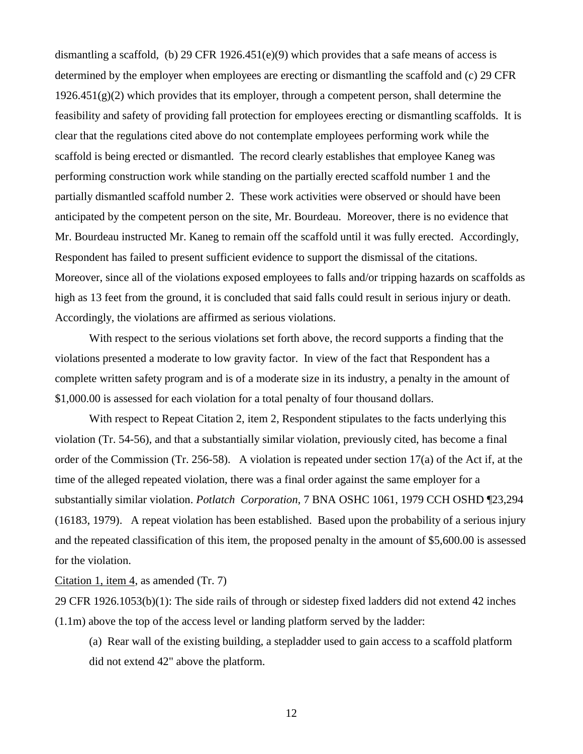dismantling a scaffold, (b) 29 CFR 1926.451(e)(9) which provides that a safe means of access is determined by the employer when employees are erecting or dismantling the scaffold and (c) 29 CFR  $1926.451(g)(2)$  which provides that its employer, through a competent person, shall determine the feasibility and safety of providing fall protection for employees erecting or dismantling scaffolds. It is clear that the regulations cited above do not contemplate employees performing work while the scaffold is being erected or dismantled. The record clearly establishes that employee Kaneg was performing construction work while standing on the partially erected scaffold number 1 and the partially dismantled scaffold number 2. These work activities were observed or should have been anticipated by the competent person on the site, Mr. Bourdeau. Moreover, there is no evidence that Mr. Bourdeau instructed Mr. Kaneg to remain off the scaffold until it was fully erected. Accordingly, Respondent has failed to present sufficient evidence to support the dismissal of the citations. Moreover, since all of the violations exposed employees to falls and/or tripping hazards on scaffolds as high as 13 feet from the ground, it is concluded that said falls could result in serious injury or death. Accordingly, the violations are affirmed as serious violations.

With respect to the serious violations set forth above, the record supports a finding that the violations presented a moderate to low gravity factor. In view of the fact that Respondent has a complete written safety program and is of a moderate size in its industry, a penalty in the amount of \$1,000.00 is assessed for each violation for a total penalty of four thousand dollars.

With respect to Repeat Citation 2, item 2, Respondent stipulates to the facts underlying this violation (Tr. 54-56), and that a substantially similar violation, previously cited, has become a final order of the Commission (Tr. 256-58). A violation is repeated under section 17(a) of the Act if, at the time of the alleged repeated violation, there was a final order against the same employer for a substantially similar violation. *Potlatch Corporation*, 7 BNA OSHC 1061, 1979 CCH OSHD ¶23,294 (16183, 1979). A repeat violation has been established. Based upon the probability of a serious injury and the repeated classification of this item, the proposed penalty in the amount of \$5,600.00 is assessed for the violation.

Citation 1, item 4, as amended  $(Tr. 7)$ 

29 CFR 1926.1053(b)(1): The side rails of through or sidestep fixed ladders did not extend 42 inches (1.1m) above the top of the access level or landing platform served by the ladder:

(a) Rear wall of the existing building, a stepladder used to gain access to a scaffold platform did not extend 42" above the platform.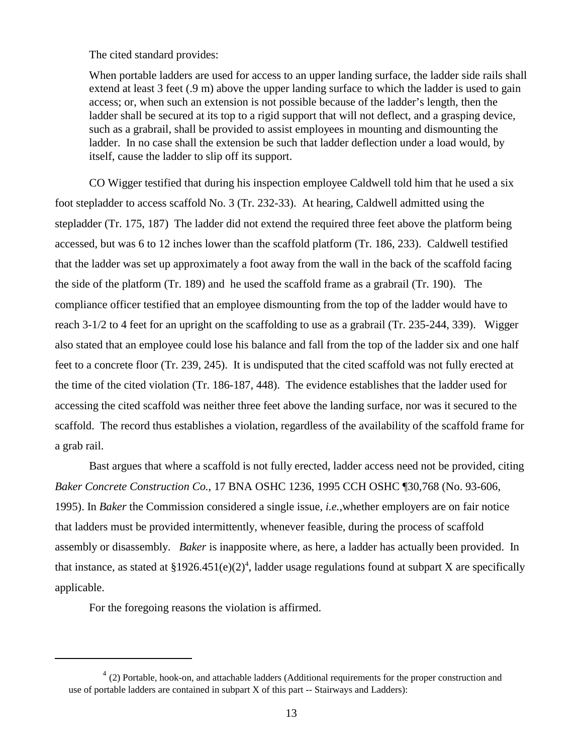The cited standard provides:

When portable ladders are used for access to an upper landing surface, the ladder side rails shall extend at least 3 feet (.9 m) above the upper landing surface to which the ladder is used to gain access; or, when such an extension is not possible because of the ladder's length, then the ladder shall be secured at its top to a rigid support that will not deflect, and a grasping device, such as a grabrail, shall be provided to assist employees in mounting and dismounting the ladder. In no case shall the extension be such that ladder deflection under a load would, by itself, cause the ladder to slip off its support.

CO Wigger testified that during his inspection employee Caldwell told him that he used a six foot stepladder to access scaffold No. 3 (Tr. 232-33). At hearing, Caldwell admitted using the stepladder (Tr. 175, 187) The ladder did not extend the required three feet above the platform being accessed, but was 6 to 12 inches lower than the scaffold platform (Tr. 186, 233). Caldwell testified that the ladder was set up approximately a foot away from the wall in the back of the scaffold facing the side of the platform (Tr. 189) and he used the scaffold frame as a grabrail (Tr. 190). The compliance officer testified that an employee dismounting from the top of the ladder would have to reach 3-1/2 to 4 feet for an upright on the scaffolding to use as a grabrail (Tr. 235-244, 339). Wigger also stated that an employee could lose his balance and fall from the top of the ladder six and one half feet to a concrete floor (Tr. 239, 245). It is undisputed that the cited scaffold was not fully erected at the time of the cited violation (Tr. 186-187, 448). The evidence establishes that the ladder used for accessing the cited scaffold was neither three feet above the landing surface, nor was it secured to the scaffold. The record thus establishes a violation, regardless of the availability of the scaffold frame for a grab rail.

Bast argues that where a scaffold is not fully erected, ladder access need not be provided, citing *Baker Concrete Construction Co.*, 17 BNA OSHC 1236, 1995 CCH OSHC ¶30,768 (No. 93-606, 1995). In *Baker* the Commission considered a single issue, *i.e.,*whether employers are on fair notice that ladders must be provided intermittently, whenever feasible, during the process of scaffold assembly or disassembly. *Baker* is inapposite where, as here, a ladder has actually been provided. In that instance, as stated at  $§1926.451(e)(2)^4$ , ladder usage regulations found at subpart X are specifically applicable.

For the foregoing reasons the violation is affirmed.

 $4$  (2) Portable, hook-on, and attachable ladders (Additional requirements for the proper construction and use of portable ladders are contained in subpart X of this part -- Stairways and Ladders):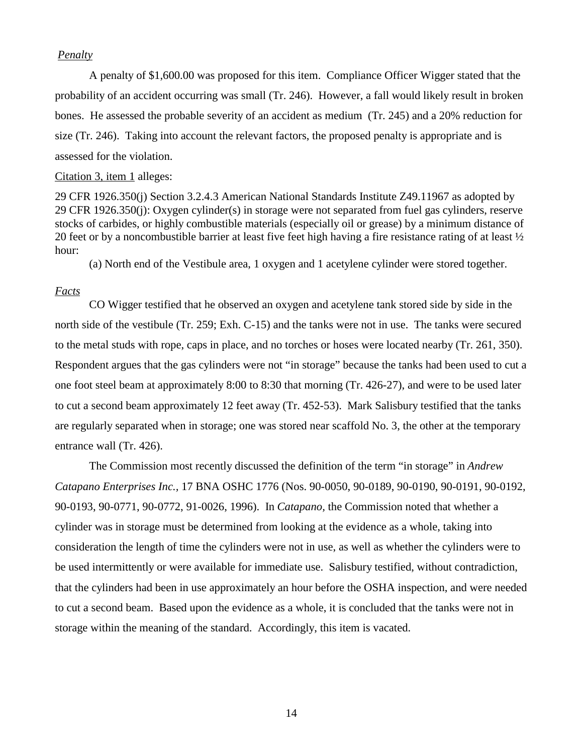### *Penalty*

A penalty of \$1,600.00 was proposed for this item. Compliance Officer Wigger stated that the probability of an accident occurring was small (Tr. 246). However, a fall would likely result in broken bones. He assessed the probable severity of an accident as medium (Tr. 245) and a 20% reduction for size (Tr. 246). Taking into account the relevant factors, the proposed penalty is appropriate and is assessed for the violation.

### Citation 3, item 1 alleges:

29 CFR 1926.350(j) Section 3.2.4.3 American National Standards Institute Z49.11967 as adopted by 29 CFR 1926.350(j): Oxygen cylinder(s) in storage were not separated from fuel gas cylinders, reserve stocks of carbides, or highly combustible materials (especially oil or grease) by a minimum distance of 20 feet or by a noncombustible barrier at least five feet high having a fire resistance rating of at least ½ hour:

(a) North end of the Vestibule area, 1 oxygen and 1 acetylene cylinder were stored together.

### *Facts*

CO Wigger testified that he observed an oxygen and acetylene tank stored side by side in the north side of the vestibule (Tr. 259; Exh. C-15) and the tanks were not in use. The tanks were secured to the metal studs with rope, caps in place, and no torches or hoses were located nearby (Tr. 261, 350). Respondent argues that the gas cylinders were not "in storage" because the tanks had been used to cut a one foot steel beam at approximately 8:00 to 8:30 that morning (Tr. 426-27), and were to be used later to cut a second beam approximately 12 feet away (Tr. 452-53). Mark Salisbury testified that the tanks are regularly separated when in storage; one was stored near scaffold No. 3, the other at the temporary entrance wall (Tr. 426).

The Commission most recently discussed the definition of the term "in storage" in *Andrew Catapano Enterprises Inc.,* 17 BNA OSHC 1776 (Nos. 90-0050, 90-0189, 90-0190, 90-0191, 90-0192, 90-0193, 90-0771, 90-0772, 91-0026, 1996). In *Catapano,* the Commission noted that whether a cylinder was in storage must be determined from looking at the evidence as a whole, taking into consideration the length of time the cylinders were not in use, as well as whether the cylinders were to be used intermittently or were available for immediate use. Salisbury testified, without contradiction, that the cylinders had been in use approximately an hour before the OSHA inspection, and were needed to cut a second beam. Based upon the evidence as a whole, it is concluded that the tanks were not in storage within the meaning of the standard. Accordingly, this item is vacated.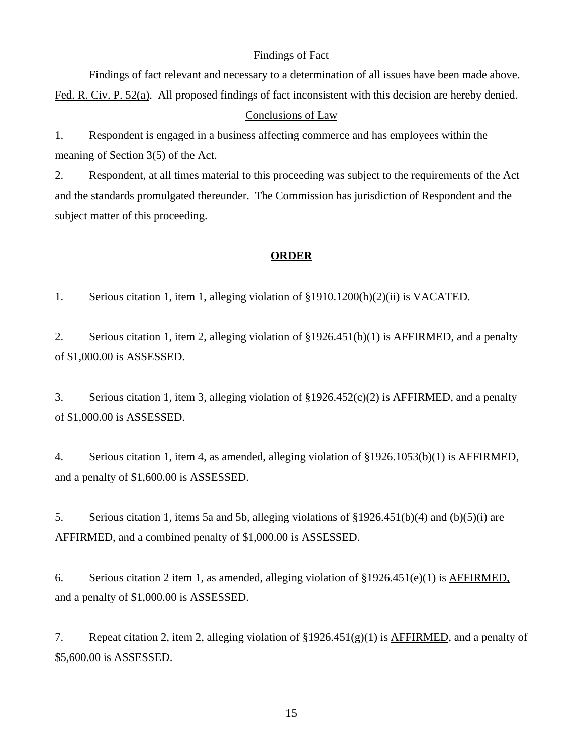### Findings of Fact

Findings of fact relevant and necessary to a determination of all issues have been made above. Fed. R. Civ. P. 52(a). All proposed findings of fact inconsistent with this decision are hereby denied. Conclusions of Law

1. Respondent is engaged in a business affecting commerce and has employees within the meaning of Section 3(5) of the Act.

2. Respondent, at all times material to this proceeding was subject to the requirements of the Act and the standards promulgated thereunder. The Commission has jurisdiction of Respondent and the subject matter of this proceeding.

### **ORDER**

1. Serious citation 1, item 1, alleging violation of §1910.1200(h)(2)(ii) is VACATED.

2. Serious citation 1, item 2, alleging violation of §1926.451(b)(1) is AFFIRMED, and a penalty of \$1,000.00 is ASSESSED.

3. Serious citation 1, item 3, alleging violation of §1926.452(c)(2) is AFFIRMED, and a penalty of \$1,000.00 is ASSESSED.

4. Serious citation 1, item 4, as amended, alleging violation of §1926.1053(b)(1) is AFFIRMED, and a penalty of \$1,600.00 is ASSESSED.

5. Serious citation 1, items 5a and 5b, alleging violations of §1926.451(b)(4) and (b)(5)(i) are AFFIRMED, and a combined penalty of \$1,000.00 is ASSESSED.

6. Serious citation 2 item 1, as amended, alleging violation of §1926.451(e)(1) is AFFIRMED, and a penalty of \$1,000.00 is ASSESSED.

7. Repeat citation 2, item 2, alleging violation of  $\S 1926.451(g)(1)$  is AFFIRMED, and a penalty of \$5,600.00 is ASSESSED.